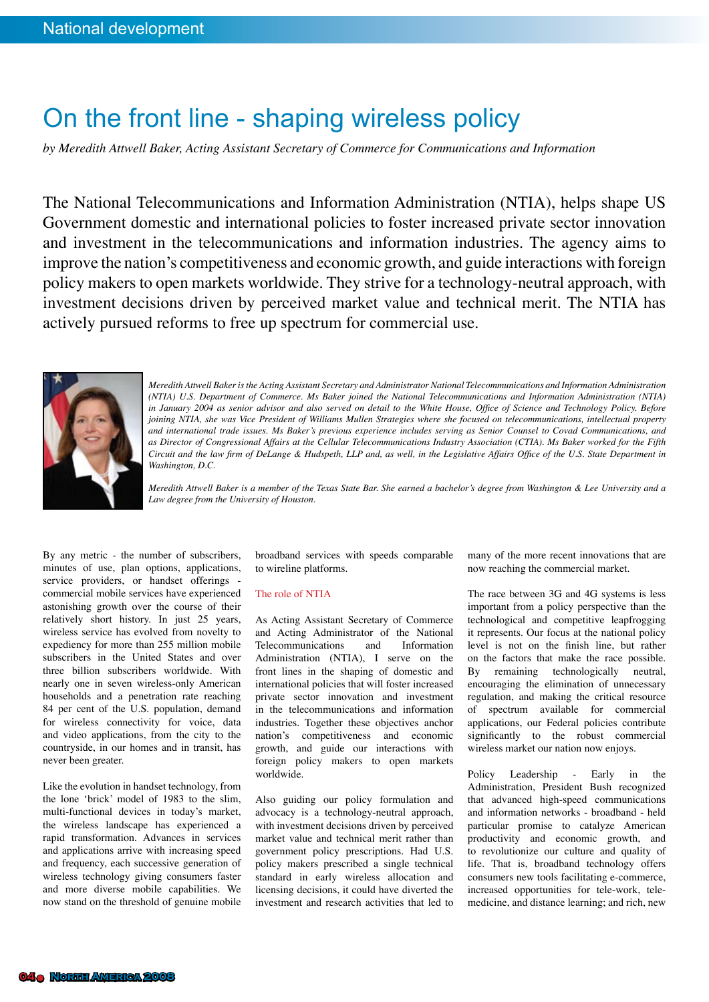## On the front line - shaping wireless policy

*by Meredith Attwell Baker, Acting Assistant Secretary of Commerce for Communications and Information*

The National Telecommunications and Information Administration (NTIA), helps shape US Government domestic and international policies to foster increased private sector innovation and investment in the telecommunications and information industries. The agency aims to improve the nation's competitiveness and economic growth, and guide interactions with foreign policy makers to open markets worldwide. They strive for a technology-neutral approach, with investment decisions driven by perceived market value and technical merit. The NTIA has actively pursued reforms to free up spectrum for commercial use.



*Meredith Attwell Baker is the Acting Assistant Secretary and Administrator National Telecommunications and Information Administration (NTIA) U.S. Department of Commerce. Ms Baker joined the National Telecommunications and Information Administration (NTIA) in January 2004 as senior advisor and also served on detail to the White House, Office of Science and Technology Policy. Before joining NTIA, she was Vice President of Williams Mullen Strategies where she focused on telecommunications, intellectual property and international trade issues. Ms Baker's previous experience includes serving as Senior Counsel to Covad Communications, and as Director of Congressional Affairs at the Cellular Telecommunications Industry Association (CTIA). Ms Baker worked for the Fifth Circuit and the law firm of DeLange & Hudspeth, LLP and, as well, in the Legislative Affairs Office of the U.S. State Department in Washington, D.C.*

*Meredith Attwell Baker is a member of the Texas State Bar. She earned a bachelor's degree from Washington & Lee University and a Law degree from the University of Houston.*

By any metric - the number of subscribers, minutes of use, plan options, applications, service providers, or handset offerings commercial mobile services have experienced astonishing growth over the course of their relatively short history. In just 25 years, wireless service has evolved from novelty to expediency for more than 255 million mobile subscribers in the United States and over three billion subscribers worldwide. With nearly one in seven wireless-only American households and a penetration rate reaching 84 per cent of the U.S. population, demand for wireless connectivity for voice, data and video applications, from the city to the countryside, in our homes and in transit, has never been greater.

Like the evolution in handset technology, from the lone 'brick' model of 1983 to the slim, multi-functional devices in today's market, the wireless landscape has experienced a rapid transformation. Advances in services and applications arrive with increasing speed and frequency, each successive generation of wireless technology giving consumers faster and more diverse mobile capabilities. We now stand on the threshold of genuine mobile

broadband services with speeds comparable to wireline platforms.

## The role of NTIA

As Acting Assistant Secretary of Commerce and Acting Administrator of the National Telecommunications Administration (NTIA), I serve on the front lines in the shaping of domestic and international policies that will foster increased private sector innovation and investment in the telecommunications and information industries. Together these objectives anchor nation's competitiveness and economic growth, and guide our interactions with foreign policy makers to open markets worldwide.

Also guiding our policy formulation and advocacy is a technology-neutral approach, with investment decisions driven by perceived market value and technical merit rather than government policy prescriptions. Had U.S. policy makers prescribed a single technical standard in early wireless allocation and licensing decisions, it could have diverted the investment and research activities that led to many of the more recent innovations that are now reaching the commercial market.

The race between 3G and 4G systems is less important from a policy perspective than the technological and competitive leapfrogging it represents. Our focus at the national policy level is not on the finish line, but rather on the factors that make the race possible. By remaining technologically neutral, encouraging the elimination of unnecessary regulation, and making the critical resource of spectrum available for commercial applications, our Federal policies contribute significantly to the robust commercial wireless market our nation now enjoys.

Policy Leadership - Early in the Administration, President Bush recognized that advanced high-speed communications and information networks - broadband - held particular promise to catalyze American productivity and economic growth, and to revolutionize our culture and quality of life. That is, broadband technology offers consumers new tools facilitating e-commerce, increased opportunities for tele-work, telemedicine, and distance learning; and rich, new